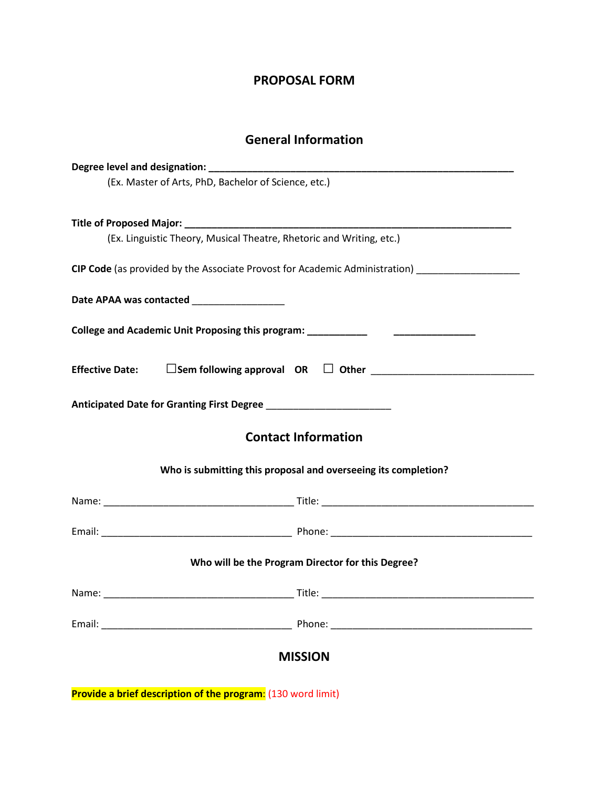### **PROPOSAL FORM**

# **General Information**

| (Ex. Master of Arts, PhD, Bachelor of Science, etc.)                                                                                                                                                                           |
|--------------------------------------------------------------------------------------------------------------------------------------------------------------------------------------------------------------------------------|
|                                                                                                                                                                                                                                |
| (Ex. Linguistic Theory, Musical Theatre, Rhetoric and Writing, etc.)                                                                                                                                                           |
| CIP Code (as provided by the Associate Provost for Academic Administration) ________________________                                                                                                                           |
| Date APAA was contacted __________________                                                                                                                                                                                     |
| College and Academic Unit Proposing this program: _______________________________                                                                                                                                              |
| <b>Effective Date:</b>                                                                                                                                                                                                         |
|                                                                                                                                                                                                                                |
| <b>Contact Information</b>                                                                                                                                                                                                     |
| Who is submitting this proposal and overseeing its completion?                                                                                                                                                                 |
|                                                                                                                                                                                                                                |
|                                                                                                                                                                                                                                |
| Who will be the Program Director for this Degree?                                                                                                                                                                              |
|                                                                                                                                                                                                                                |
| Phone: Note: The Commission of the Commission of the Commission of the Commission of the Commission of the Commission of the Commission of the Commission of the Commission of the Commission of the Commission of the Commiss |
| <b>MISSION</b>                                                                                                                                                                                                                 |
| Provide a brief description of the program: (130 word limit)                                                                                                                                                                   |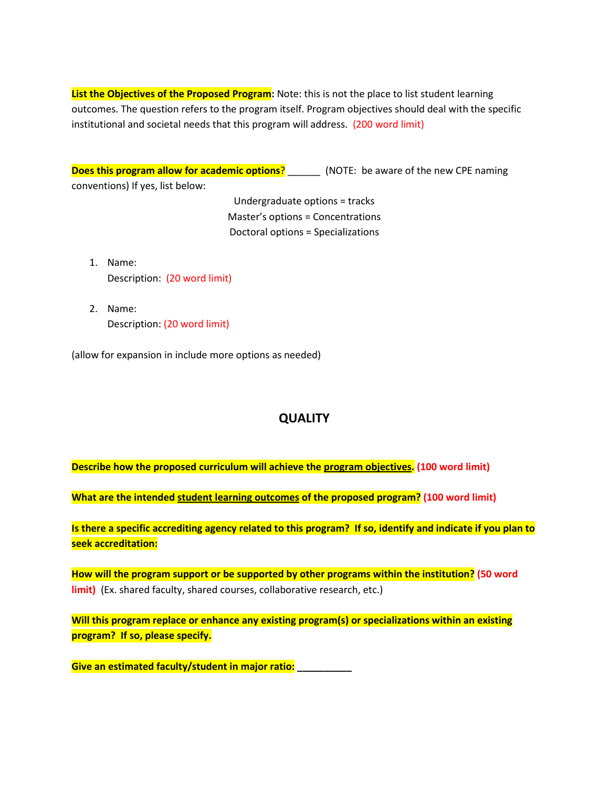List the Objectives of the Proposed Program: Note: this is not the place to list student learning outcomes. The question refers to the program itself. Program objectives should deal with the specific institutional and societal needs that this program will address. (200 word limit)

**Does this program allow for academic options**? \_\_\_\_\_\_ (NOTE: be aware of the new CPE naming conventions) If yes, list below:

> Undergraduate options = tracks Master's options = Concentrations Doctoral options = Specializations

- 1. Name: Description: (20 word limit)
- 2. Name: Description: (20 word limit)

(allow for expansion in include more options as needed)

## **QUALITY**

**Describe how the proposed curriculum will achieve the program objectives. (100 word limit)**

**What are the intended student learning outcomes of the proposed program? (100 word limit)**

**Is there a specific accrediting agency related to this program? If so, identify and indicate if you plan to seek accreditation:**

**How will the program support or be supported by other programs within the institution? (50 word limit)** (Ex. shared faculty, shared courses, collaborative research, etc.)

**Will this program replace or enhance any existing program(s) or specializations within an existing program? If so, please specify.**

**Give an estimated faculty/student in major ratio: \_\_\_\_\_\_\_\_\_\_**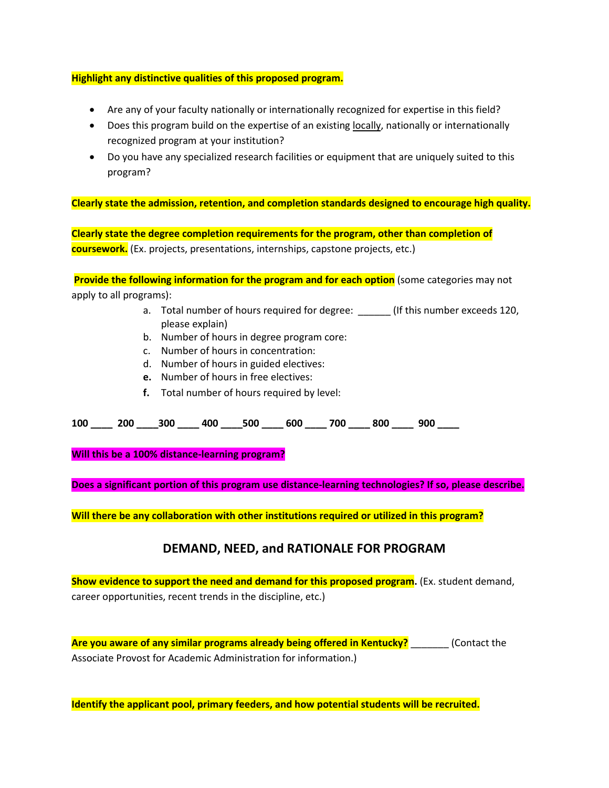#### **Highlight any distinctive qualities of this proposed program.**

- Are any of your faculty nationally or internationally recognized for expertise in this field?
- Does this program build on the expertise of an existing locally, nationally or internationally recognized program at your institution?
- Do you have any specialized research facilities or equipment that are uniquely suited to this program?

**Clearly state the admission, retention, and completion standards designed to encourage high quality.**

**Clearly state the degree completion requirements for the program, other than completion of coursework.** (Ex. projects, presentations, internships, capstone projects, etc.)

**Provide the following information for the program and for each option** (some categories may not apply to all programs):

- a. Total number of hours required for degree: \_\_\_\_\_\_\_ (If this number exceeds 120, please explain)
- b. Number of hours in degree program core:
- c. Number of hours in concentration:
- d. Number of hours in guided electives:
- **e.** Number of hours in free electives:
- **f.** Total number of hours required by level:

**100 \_\_\_\_ 200 \_\_\_\_300 \_\_\_\_ 400 \_\_\_\_500 \_\_\_\_ 600 \_\_\_\_ 700 \_\_\_\_ 800 \_\_\_\_ 900 \_\_\_\_**

**Will this be a 100% distance-learning program?**

**Does a significant portion of this program use distance-learning technologies? If so, please describe.**

**Will there be any collaboration with other institutions required or utilized in this program?**

### **DEMAND, NEED, and RATIONALE FOR PROGRAM**

**Show evidence to support the need and demand for this proposed program.** (Ex. student demand, career opportunities, recent trends in the discipline, etc.)

**Are you aware of any similar programs already being offered in Kentucky?** \_\_\_\_\_\_\_ (Contact the Associate Provost for Academic Administration for information.)

**Identify the applicant pool, primary feeders, and how potential students will be recruited.**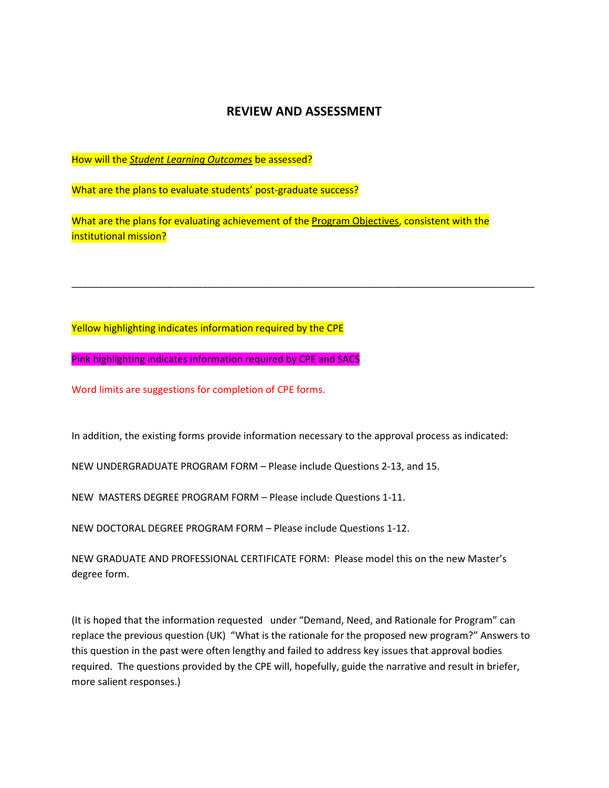### **REVIEW AND ASSESSMENT**

How will the *Student Learning Outcomes* be assessed?

What are the plans to evaluate students' post-graduate success?

What are the plans for evaluating achievement of the Program Objectives, consistent with the institutional mission?

\_\_\_\_\_\_\_\_\_\_\_\_\_\_\_\_\_\_\_\_\_\_\_\_\_\_\_\_\_\_\_\_\_\_\_\_\_\_\_\_\_\_\_\_\_\_\_\_\_\_\_\_\_\_\_\_\_\_\_\_\_\_\_\_\_\_\_\_\_\_\_\_\_\_\_\_\_\_\_\_\_\_\_\_\_

Yellow highlighting indicates information required by the CPE

Pink highlighting indicates information required by CPE and SACS

Word limits are suggestions for completion of CPE forms.

In addition, the existing forms provide information necessary to the approval process as indicated:

NEW UNDERGRADUATE PROGRAM FORM – Please include Questions 2-13, and 15.

NEW MASTERS DEGREE PROGRAM FORM – Please include Questions 1-11.

NEW DOCTORAL DEGREE PROGRAM FORM – Please include Questions 1-12.

NEW GRADUATE AND PROFESSIONAL CERTIFICATE FORM: Please model this on the new Master's degree form.

(It is hoped that the information requested under "Demand, Need, and Rationale for Program" can replace the previous question (UK) "What is the rationale for the proposed new program?" Answers to this question in the past were often lengthy and failed to address key issues that approval bodies required. The questions provided by the CPE will, hopefully, guide the narrative and result in briefer, more salient responses.)